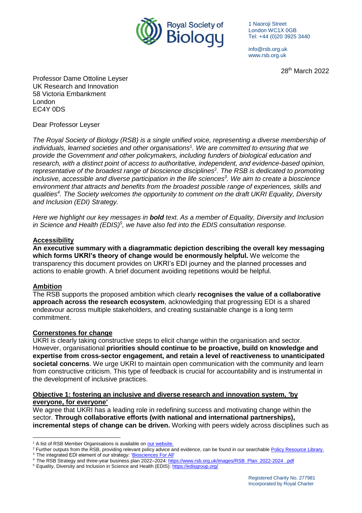

1 Naoroji Street London WC1X 0GB Tel: +44 (0)20 3925 3440

info@rsb.org.uk www.rsb.org.uk

28th March 2022

Professor Dame Ottoline Leyser UK Research and Innovation 58 Victoria Embankment London EC4Y 0DS

Dear Professor Leyser

*The Royal Society of Biology (RSB) is a single unified voice, representing a diverse membership of individuals, learned societies and other organisations*<sup>1</sup> *. We are committed to ensuring that we provide the Government and other policymakers, including funders of biological education and research, with a distinct point of access to authoritative, independent, and evidence-based opinion, representative of the broadest range of bioscience disciplines*<sup>2</sup> *. The RSB is dedicated to promoting inclusive, accessible and diverse participation in the life sciences<sup>3</sup> . We aim to create a bioscience environment that attracts and benefits from the broadest possible range of experiences, skills and qualities<sup>4</sup> . The Society welcomes the opportunity to comment on the draft UKRI Equality, Diversity and Inclusion (EDI) Strategy.*

*Here we highlight our key messages in bold text. As a member of Equality, Diversity and Inclusion in Science and Health (EDIS)<sup>5</sup> , we have also fed into the EDIS consultation response.*

## **Accessibility**

**An executive summary with a diagrammatic depiction describing the overall key messaging which forms UKRI's theory of change would be enormously helpful.** We welcome the transparency this document provides on UKRI's EDI journey and the planned processes and actions to enable growth. A brief document avoiding repetitions would be helpful.

## **Ambition**

The RSB supports the proposed ambition which clearly **recognises the value of a collaborative approach across the research ecosystem**, acknowledging that progressing EDI is a shared endeavour across multiple stakeholders, and creating sustainable change is a long term commitment.

## **Cornerstones for change**

UKRI is clearly taking constructive steps to elicit change within the organisation and sector. However, organisational **priorities should continue to be proactive, build on knowledge and expertise from cross-sector engagement, and retain a level of reactiveness to unanticipated societal concerns**. We urge UKRI to maintain open communication with the community and learn from constructive criticism. This type of feedback is crucial for accountability and is instrumental in the development of inclusive practices.

#### **Objective 1: fostering an inclusive and diverse research and innovation system, 'by everyone, for everyone'**

We agree that UKRI has a leading role in redefining success and motivating change within the sector. **Through collaborative efforts (with national and international partnerships), incremental steps of change can be driven.** Working with peers widely across disciplines such as

 $\overline{a}$ <sup>1</sup> A list of RSB Member Organisations is available on [our website.](https://www.rsb.org.uk/membership/organisational-membership)

<sup>&</sup>lt;sup>2</sup> Further outputs from the RSB, providing relevant policy advice and evidence, can be found in our searchabl[e Policy Resource Library.](https://my.rsb.org.uk/item.php?orgresourceid=1)

<sup>&</sup>lt;sup>3</sup> The integrated EDI element of our strategy: ['Biosciences For All'](https://www.rsb.org.uk/plan/biosciences-for-all)

<sup>4</sup> The RSB Strategy and three-year business plan 2022–2024[: https://www.rsb.org.uk/images/RSB\\_Plan\\_2022-2024\\_.pdf](https://www.rsb.org.uk/images/RSB_Plan_2022-2024_.pdf)

<sup>&</sup>lt;sup>5</sup> Equality, Diversity and Inclusion in Science and Health (EDIS):<https://edisgroup.org/>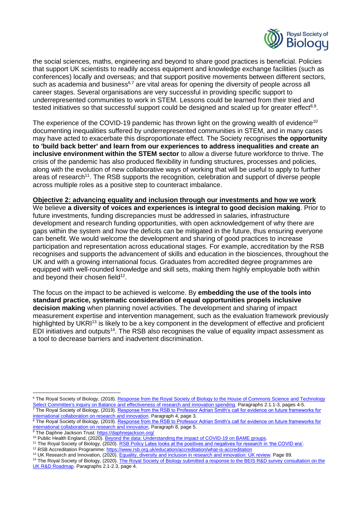

the social sciences, maths, engineering and beyond to share good practices is beneficial. Policies that support UK scientists to readily access equipment and knowledge exchange facilities (such as conferences) locally and overseas; and that support positive movements between different sectors, such as academia and business $6.7$  are vital areas for opening the diversity of people across all career stages. Several organisations are very successful in providing specific support to underrepresented communities to work in STEM. Lessons could be learned from their tried and tested initiatives so that successful support could be designed and scaled up for greater effect $^{8,9}$ .

The experience of the COVID-19 pandemic has thrown light on the growing wealth of evidence<sup>10</sup> documenting inequalities suffered by underrepresented communities in STEM, and in many cases may have acted to exacerbate this disproportionate effect. The Society recognises **the opportunity to 'build back better' and learn from our experiences to address inequalities and create an inclusive environment within the STEM sector** to allow a diverse future workforce to thrive. The crisis of the pandemic has also produced flexibility in funding structures, processes and policies, along with the evolution of new collaborative ways of working that will be useful to apply to further areas of research<sup>11</sup>. The RSB supports the recognition, celebration and support of diverse people across multiple roles as a positive step to counteract imbalance.

# **Objective 2: advancing equality and inclusion through our investments and how we work**

We believe **a diversity of voices and experiences is integral to good decision making**. Prior to future investments, funding discrepancies must be addressed in salaries, infrastructure development and research funding opportunities, with open acknowledgement of why there are gaps within the system and how the deficits can be mitigated in the future, thus ensuring everyone can benefit. We would welcome the development and sharing of good practices to increase participation and representation across educational stages. For example, accreditation by the RSB recognises and supports the advancement of skills and education in the biosciences, throughout the UK and with a growing international focus. Graduates from accredited degree programmes are equipped with well-rounded knowledge and skill sets, making them highly employable both within and beyond their chosen field $^{12}$ .

The focus on the impact to be achieved is welcome. By **embedding the use of the tools into standard practice, systematic consideration of equal opportunities propels inclusive decision making** when planning novel activities. The development and sharing of impact measurement expertise and intervention management, such as the evaluation framework previously highlighted by UKRI<sup>13</sup> is likely to be a key component in the development of effective and proficient EDI initiatives and outputs<sup>14</sup>. The RSB also recognises the value of equality impact assessment as a tool to decrease barriers and inadvertent discrimination.

<sup>8</sup> The Royal Society of Biology, (2019). Response from the RSB to Professor Adrian Smith's call for evidence on future frameworks for [international collaboration on research and innovation.](https://www.rsb.org.uk/images/RSB_Response_to_Professor_Adrian_Smith_Evidence_Call_for_submission.pdf) Paragraph 8, page 5.

<sup>9</sup> The Daphne Jackson Trust[: https://daphnejackson.org/](https://daphnejackson.org/)

 $\overline{a}$ 

<sup>&</sup>lt;sup>6</sup> The Royal Society of Biology, (2018). [Response from the Royal Society of Biology to the House of Commons Science](https://www.rsb.org.uk/images/article/policy/RSB_response_to_HoC_STC_inquiry_on_research_and_innovation_spending_submitted.pdf) and Technology [Select Committee's inquiry on Balance and effectiveness of research and innovation spending.](https://www.rsb.org.uk/images/article/policy/RSB_response_to_HoC_STC_inquiry_on_research_and_innovation_spending_submitted.pdf) Paragraphs 2.1.1-3, pages 4-5. <sup>7</sup> The Royal Society of Biology, (2019). <u>Response from the RSB to Professor Adrian Smith's call for evidence on future frameworks for</u> [international collaboration on research and innovation.](https://www.rsb.org.uk/images/RSB_Response_to_Professor_Adrian_Smith_Evidence_Call_for_submission.pdf) Paragraph 4, page 3.

<sup>&</sup>lt;sup>10</sup> Public Health England, (2020)[. Beyond the data: Understanding the impact of COVID-19 on BAME groups.](https://www.google.com/url?sa=t&rct=j&q=&esrc=s&source=web&cd=&ved=2ahUKEwjZmJTpt4nuAhWsQkEAHfvsCwwQFjABegQIBRAC&url=https%3A%2F%2Fassets.publishing.service.gov.uk%2Fgovernment%2Fuploads%2Fsystem%2Fuploads%2Fattachment_data%2Ffile%2F892376%2FCOVID_stakeholder_engagement_synthesis_beyond_the_data.pdf&usg=AOvVaw0s8IXKWi-Dqjfb5mH-4wHB)

<sup>11</sup> The Royal Society of Biology, (2020). [RSB Policy Lates looks at the positives and negatives for research in 'the COVID era'.](https://www.rsb.org.uk/news/14-news/2416-rsb-policy-lates-looks-at-the-positives-and-negatives-for-research-in-the-covid-era)

<sup>12</sup> RSB Accreditation Programme[: https://www.rsb.org.uk/education/accreditation/what-is-accreditation](https://www.rsb.org.uk/education/accreditation/what-is-accreditation)

<sup>&</sup>lt;sup>13</sup> UK Research and Innovation, (2020). [Equality, diversity and inclusion in research and innovation:](https://www.ukri.org/wp-content/uploads/2020/10/UKRI-020920-EDI-EvidenceReviewUK.pdf) UK review. Page 89.

<sup>&</sup>lt;sup>14</sup> The Royal Society of Biology, (2020). The Royal Society of Biology submitted a response to the BEIS R&D survey consultation on the [UK R&D Roadmap.](https://www.rsb.org.uk/images/RSB_response_to_the_BEIS_survey_UK_RD_Roadmap_2020_submitted.pdf) Paragraphs 2.1-2.3, page 4.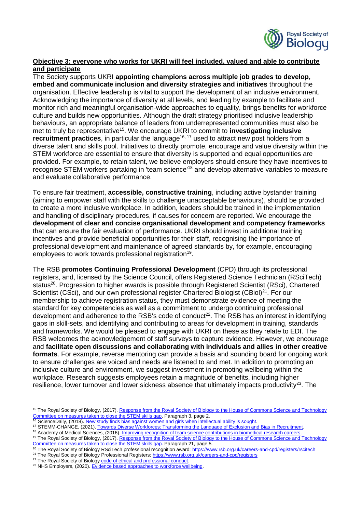

# **Objective 3: everyone who works for UKRI will feel included, valued and able to contribute and participate**

The Society supports UKRI **appointing champions across multiple job grades to develop, embed and communicate inclusion and diversity strategies and initiatives** throughout the organisation. Effective leadership is vital to support the development of an inclusive environment. Acknowledging the importance of diversity at all levels, and leading by example to facilitate and monitor rich and meaningful organisation-wide approaches to equality, brings benefits for workforce culture and builds new opportunities. Although the draft strategy prioritised inclusive leadership behaviours, an appropriate balance of leaders from underrepresented communities must also be met to truly be representative<sup>15</sup>. We encourage UKRI to commit to **investigating inclusive recruitment practices**, in particular the language<sup>16, 17</sup> used to attract new post holders from a diverse talent and skills pool. Initiatives to directly promote, encourage and value diversity within the STEM workforce are essential to ensure that diversity is supported and equal opportunities are provided. For example, to retain talent, we believe employers should ensure they have incentives to recognise STEM workers partaking in 'team science'<sup>18</sup> and develop alternative variables to measure and evaluate collaborative performance.

To ensure fair treatment, **accessible, constructive training**, including active bystander training (aiming to empower staff with the skills to challenge unacceptable behaviours), should be provided to create a more inclusive workplace. In addition, leaders should be trained in the implementation and handling of disciplinary procedures, if causes for concern are reported. We encourage the **development of clear and concise organisational development and competency frameworks** that can ensure the fair evaluation of performance. UKRI should invest in additional training incentives and provide beneficial opportunities for their staff, recognising the importance of professional development and maintenance of agreed standards by, for example, encouraging employees to work towards professional registration<sup>19</sup>.

The RSB **promotes Continuing Professional Development** (CPD) through its professional registers, and, licensed by the Science Council, offers Registered Science Technician (RSciTech) status<sup>20</sup>. Progression to higher awards is possible through Registered Scientist (RSci), Chartered Scientist (CSci), and our own professional register Chartered Biologist (CBiol) $^{21}$ . For our membership to achieve registration status, they must demonstrate evidence of meeting the standard for key competencies as well as a commitment to undergo continuing professional development and adherence to the RSB's code of conduct<sup>22</sup>. The RSB has an interest in identifying gaps in skill-sets, and identifying and contributing to areas for development in training, standards and frameworks. We would be pleased to engage with UKRI on these as they relate to EDI. The RSB welcomes the acknowledgement of staff surveys to capture evidence. However, we encourage and **facilitate open discussions and collaborating with individuals and allies in other creative formats**. For example, reverse mentoring can provide a basis and sounding board for ongoing work to ensure challenges are voiced and needs are listened to and met. In addition to promoting an inclusive culture and environment, we suggest investment in promoting wellbeing within the workplace. Research suggests employees retain a magnitude of benefits, including higher resilience, lower turnover and lower sickness absence that ultimately impacts productivity<sup>23</sup>. The

 $\overline{a}$ 

<sup>&</sup>lt;sup>15</sup> The Royal Society of Biology, (2017). Response from the Royal Society of Biology to the House of Commons Science and Technology [Committee on measures taken to close the STEM skills gap.](http://data.parliament.uk/writtenevidence/committeeevidence.svc/evidencedocument/science-and-technology-committee/closing-the-stem-skills-gap/written/45123.pdf) Paragraph 3, page 2.

<sup>&</sup>lt;sup>16</sup> ScienceDaily, (2018). [New study finds bias against women and girls when intellectual ability is sought.](https://www.sciencedaily.com/releases/2018/12/181210165115.htm)

<sup>&</sup>lt;sup>17</sup> STEMM-CHANGE, (2021). [Towards Diverse Workforces: Transforming the Language of Exclusion and Bias in Recruitment.](https://www.stemm-change.co.uk/wp-content/uploads/2021/06/Transforming-the-Language-of-Exclusion-and-Bias-in-Recruitment-June-2021x.pdf)

<sup>&</sup>lt;sup>18</sup> Academy of Medical Sciences, (2016)[. Improving recognition of team science contributions in biomedical research careers.](https://acmedsci.ac.uk/file-download/6924621) <sup>19</sup> The Royal Society of Biology, (2017). Response from the Royal Society of Biology to the House of Commons Science and Technology [Committee on measures taken to close](http://data.parliament.uk/writtenevidence/committeeevidence.svc/evidencedocument/science-and-technology-committee/closing-the-stem-skills-gap/written/45123.pdf) the STEM skills gap. Paragraph 21, page 5.

<sup>20</sup> The Royal Society of Biology RSciTech professional recognition award:<https://www.rsb.org.uk/careers-and-cpd/registers/rscitech>

<sup>&</sup>lt;sup>21</sup> The Royal Society of Biology Professional Registers:<https://www.rsb.org.uk/careers-and-cpd/registers>

<sup>&</sup>lt;sup>22</sup> The Royal Society of Biolog[y code of ethical and professional conduct.](https://www.rsb.org.uk/images/Governance/Code_of_Professional_and_Ethical_Conduct.pdf)

<sup>&</sup>lt;sup>23</sup> NHS Employers, (2020)[. Evidence based approaches to workforce wellbeing.](https://www.nhsemployers.org/articles/evidence-based-approaches-workforce-wellbeing)